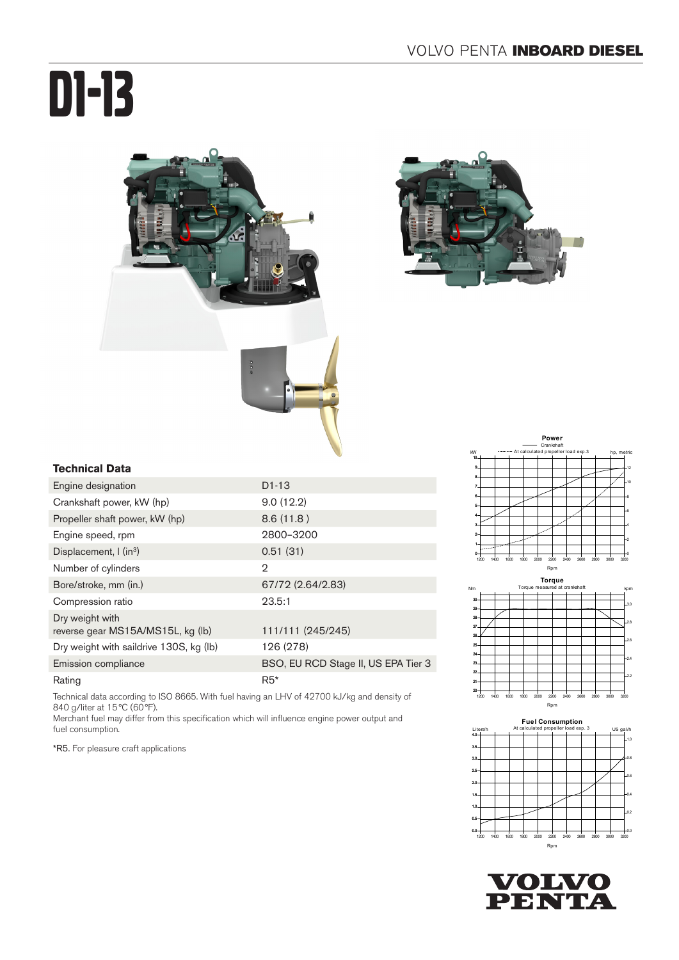# D1-13





#### **Technical Data**

| Engine designation                                   | $D1-13$                             |
|------------------------------------------------------|-------------------------------------|
| Crankshaft power, kW (hp)                            | 9.0(12.2)                           |
| Propeller shaft power, kW (hp)                       | 8.6(11.8)                           |
| Engine speed, rpm                                    | 2800-3200                           |
| Displacement, $\int$ (in <sup>3</sup> )              | 0.51(31)                            |
| Number of cylinders                                  | 2                                   |
| Bore/stroke, mm (in.)                                | 67/72 (2.64/2.83)                   |
| Compression ratio                                    | 23.5:1                              |
| Dry weight with<br>reverse gear MS15A/MS15L, kg (lb) | 111/111 (245/245)                   |
| Dry weight with saildrive 130S, kg (lb)              | 126 (278)                           |
| Emission compliance                                  | BSO, EU RCD Stage II, US EPA Tier 3 |
| Rating                                               | $R5*$                               |

Technical data according to ISO 8665. With fuel having an LHV of 42700 kJ/kg and density of 840 g/liter at 15°C (60°F).

Merchant fuel may differ from this specification which will influence engine power output and fuel consumption.

\*R5. For pleasure craft applications